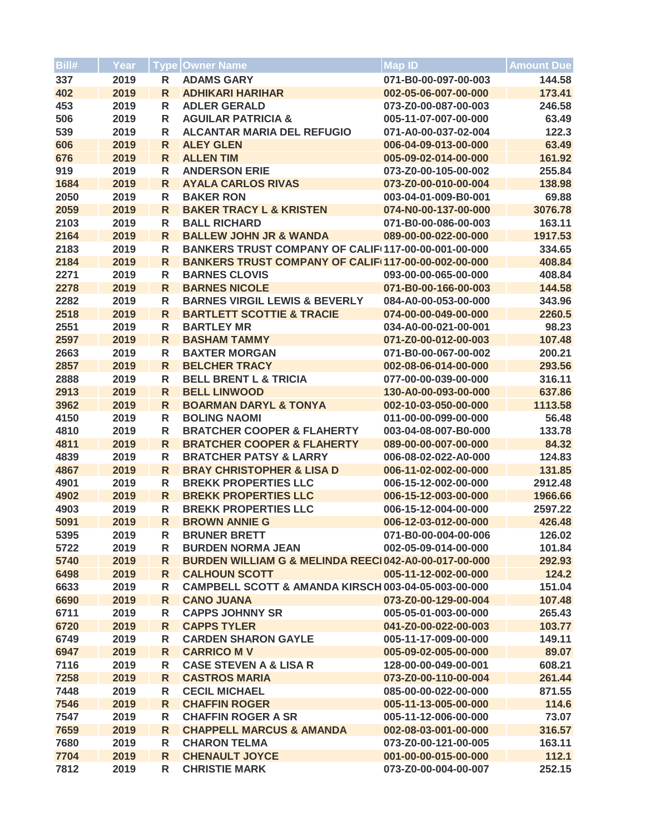| Bill# | Year | <b>Type</b>  | <b>Owner Name</b>                                    | <b>Map ID</b>        | Amount Due |
|-------|------|--------------|------------------------------------------------------|----------------------|------------|
| 337   | 2019 | R            | <b>ADAMS GARY</b>                                    | 071-B0-00-097-00-003 | 144.58     |
| 402   | 2019 | R            | <b>ADHIKARI HARIHAR</b>                              | 002-05-06-007-00-000 | 173.41     |
| 453   | 2019 | R            | <b>ADLER GERALD</b>                                  | 073-Z0-00-087-00-003 | 246.58     |
| 506   | 2019 | R            | <b>AGUILAR PATRICIA &amp;</b>                        | 005-11-07-007-00-000 | 63.49      |
| 539   | 2019 | R            | <b>ALCANTAR MARIA DEL REFUGIO</b>                    | 071-A0-00-037-02-004 | 122.3      |
| 606   | 2019 | $\mathsf{R}$ | <b>ALEY GLEN</b>                                     | 006-04-09-013-00-000 | 63.49      |
| 676   | 2019 | $\mathsf{R}$ | <b>ALLEN TIM</b>                                     | 005-09-02-014-00-000 | 161.92     |
| 919   | 2019 | R            | <b>ANDERSON ERIE</b>                                 | 073-Z0-00-105-00-002 | 255.84     |
| 1684  | 2019 | R            | <b>AYALA CARLOS RIVAS</b>                            | 073-Z0-00-010-00-004 | 138.98     |
| 2050  | 2019 | R            | <b>BAKER RON</b>                                     | 003-04-01-009-B0-001 | 69.88      |
| 2059  | 2019 | R            | <b>BAKER TRACY L &amp; KRISTEN</b>                   | 074-N0-00-137-00-000 | 3076.78    |
| 2103  | 2019 | R            | <b>BALL RICHARD</b>                                  | 071-B0-00-086-00-003 | 163.11     |
| 2164  | 2019 | $\mathsf{R}$ | <b>BALLEW JOHN JR &amp; WANDA</b>                    | 089-00-00-022-00-000 | 1917.53    |
| 2183  | 2019 | R            | BANKERS TRUST COMPANY OF CALIF(117-00-00-001-00-000  |                      | 334.65     |
| 2184  | 2019 | $\mathsf{R}$ | BANKERS TRUST COMPANY OF CALIF 117-00-00-002-00-000  |                      | 408.84     |
| 2271  | 2019 | R            | <b>BARNES CLOVIS</b>                                 | 093-00-00-065-00-000 | 408.84     |
| 2278  | 2019 | $\mathsf{R}$ | <b>BARNES NICOLE</b>                                 | 071-B0-00-166-00-003 | 144.58     |
| 2282  | 2019 | R            | <b>BARNES VIRGIL LEWIS &amp; BEVERLY</b>             | 084-A0-00-053-00-000 | 343.96     |
| 2518  | 2019 | $\mathsf{R}$ | <b>BARTLETT SCOTTIE &amp; TRACIE</b>                 | 074-00-00-049-00-000 | 2260.5     |
| 2551  | 2019 | R            | <b>BARTLEY MR</b>                                    | 034-A0-00-021-00-001 | 98.23      |
| 2597  | 2019 | $\mathsf{R}$ | <b>BASHAM TAMMY</b>                                  | 071-Z0-00-012-00-003 | 107.48     |
| 2663  | 2019 | R            | <b>BAXTER MORGAN</b>                                 | 071-B0-00-067-00-002 | 200.21     |
| 2857  | 2019 | $\mathsf{R}$ | <b>BELCHER TRACY</b>                                 | 002-08-06-014-00-000 | 293.56     |
| 2888  | 2019 | R            | <b>BELL BRENT L &amp; TRICIA</b>                     | 077-00-00-039-00-000 | 316.11     |
| 2913  | 2019 | R            | <b>BELL LINWOOD</b>                                  | 130-A0-00-093-00-000 | 637.86     |
| 3962  | 2019 | $\mathsf{R}$ | <b>BOARMAN DARYL &amp; TONYA</b>                     | 002-10-03-050-00-000 | 1113.58    |
| 4150  | 2019 | R            | <b>BOLING NAOMI</b>                                  | 011-00-00-099-00-000 | 56.48      |
| 4810  | 2019 | R            | <b>BRATCHER COOPER &amp; FLAHERTY</b>                | 003-04-08-007-B0-000 | 133.78     |
| 4811  | 2019 | $\mathsf{R}$ | <b>BRATCHER COOPER &amp; FLAHERTY</b>                | 089-00-00-007-00-000 | 84.32      |
| 4839  | 2019 | R            | <b>BRATCHER PATSY &amp; LARRY</b>                    | 006-08-02-022-A0-000 | 124.83     |
| 4867  | 2019 | $\mathsf{R}$ | <b>BRAY CHRISTOPHER &amp; LISA D</b>                 | 006-11-02-002-00-000 | 131.85     |
| 4901  | 2019 | R            | <b>BREKK PROPERTIES LLC</b>                          | 006-15-12-002-00-000 | 2912.48    |
| 4902  | 2019 | $\mathsf{R}$ | <b>BREKK PROPERTIES LLC</b>                          | 006-15-12-003-00-000 | 1966.66    |
| 4903  | 2019 | R            | <b>BREKK PROPERTIES LLC</b>                          | 006-15-12-004-00-000 | 2597.22    |
| 5091  | 2019 | R            | <b>BROWN ANNIE G</b>                                 | 006-12-03-012-00-000 | 426.48     |
| 5395  | 2019 | R            | <b>BRUNER BRETT</b>                                  | 071-B0-00-004-00-006 | 126.02     |
| 5722  | 2019 | R            | <b>BURDEN NORMA JEAN</b>                             | 002-05-09-014-00-000 | 101.84     |
| 5740  | 2019 | $\mathsf{R}$ | BURDEN WILLIAM G & MELINDA REEC 042-A0-00-017-00-000 |                      | 292.93     |
| 6498  | 2019 | $\mathsf{R}$ | <b>CALHOUN SCOTT</b>                                 | 005-11-12-002-00-000 | 124.2      |
| 6633  | 2019 | R            | CAMPBELL SCOTT & AMANDA KIRSCH 003-04-05-003-00-000  |                      | 151.04     |
| 6690  | 2019 | R            | <b>CANO JUANA</b>                                    | 073-Z0-00-129-00-004 | 107.48     |
| 6711  | 2019 | R            | <b>CAPPS JOHNNY SR</b>                               | 005-05-01-003-00-000 | 265.43     |
| 6720  | 2019 | R            | <b>CAPPS TYLER</b>                                   | 041-Z0-00-022-00-003 | 103.77     |
| 6749  | 2019 | R            | <b>CARDEN SHARON GAYLE</b>                           | 005-11-17-009-00-000 | 149.11     |
| 6947  | 2019 | R            | <b>CARRICO M V</b>                                   | 005-09-02-005-00-000 | 89.07      |
| 7116  | 2019 | R            | <b>CASE STEVEN A &amp; LISA R</b>                    | 128-00-00-049-00-001 | 608.21     |
| 7258  | 2019 | $\mathsf{R}$ | <b>CASTROS MARIA</b>                                 | 073-Z0-00-110-00-004 | 261.44     |
| 7448  | 2019 | R            | <b>CECIL MICHAEL</b>                                 | 085-00-00-022-00-000 | 871.55     |
| 7546  | 2019 | $\mathsf{R}$ | <b>CHAFFIN ROGER</b>                                 | 005-11-13-005-00-000 | 114.6      |
| 7547  | 2019 | R            | <b>CHAFFIN ROGER A SR</b>                            | 005-11-12-006-00-000 | 73.07      |
| 7659  | 2019 | R            | <b>CHAPPELL MARCUS &amp; AMANDA</b>                  | 002-08-03-001-00-000 | 316.57     |
| 7680  | 2019 | R            | <b>CHARON TELMA</b>                                  | 073-Z0-00-121-00-005 | 163.11     |
| 7704  | 2019 | $\mathsf{R}$ | <b>CHENAULT JOYCE</b>                                | 001-00-00-015-00-000 | 112.1      |
| 7812  | 2019 | R            | <b>CHRISTIE MARK</b>                                 | 073-Z0-00-004-00-007 | 252.15     |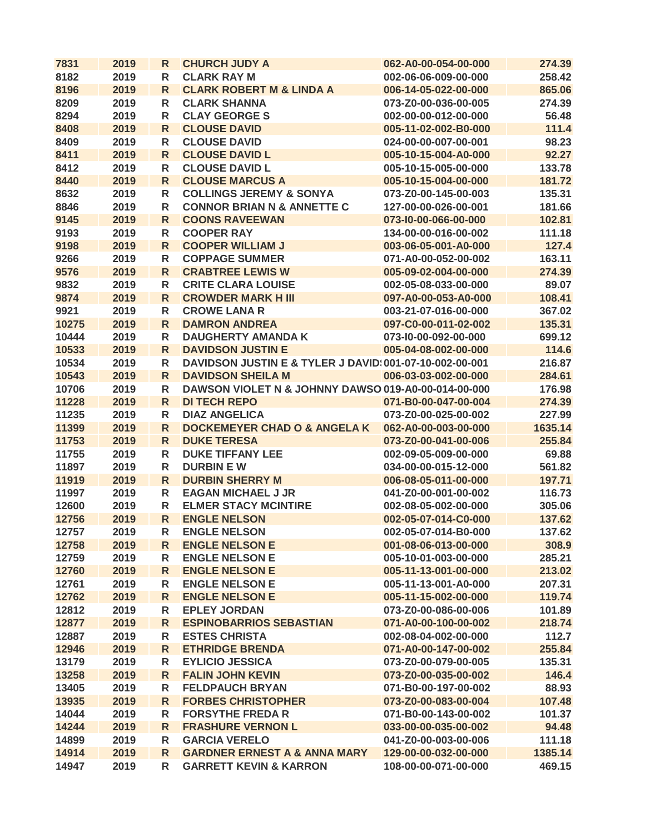| 7831  | 2019 | R            | <b>CHURCH JUDY A</b>                                    | 062-A0-00-054-00-000 | 274.39  |
|-------|------|--------------|---------------------------------------------------------|----------------------|---------|
| 8182  | 2019 | R            | <b>CLARK RAY M</b>                                      | 002-06-06-009-00-000 | 258.42  |
| 8196  | 2019 | R            | <b>CLARK ROBERT M &amp; LINDA A</b>                     | 006-14-05-022-00-000 | 865.06  |
| 8209  | 2019 | R            | <b>CLARK SHANNA</b>                                     | 073-Z0-00-036-00-005 | 274.39  |
| 8294  | 2019 | R            | <b>CLAY GEORGE S</b>                                    | 002-00-00-012-00-000 | 56.48   |
| 8408  | 2019 | $\mathsf{R}$ | <b>CLOUSE DAVID</b>                                     | 005-11-02-002-B0-000 | 111.4   |
| 8409  | 2019 | R            | <b>CLOUSE DAVID</b>                                     | 024-00-00-007-00-001 | 98.23   |
| 8411  | 2019 | R.           | <b>CLOUSE DAVID L</b>                                   | 005-10-15-004-A0-000 | 92.27   |
| 8412  | 2019 | R            | <b>CLOUSE DAVID L</b>                                   | 005-10-15-005-00-000 | 133.78  |
| 8440  | 2019 | $\mathsf{R}$ | <b>CLOUSE MARCUS A</b>                                  | 005-10-15-004-00-000 | 181.72  |
| 8632  | 2019 | R            | <b>COLLINGS JEREMY &amp; SONYA</b>                      | 073-Z0-00-145-00-003 | 135.31  |
| 8846  | 2019 | R            | <b>CONNOR BRIAN N &amp; ANNETTE C</b>                   | 127-00-00-026-00-001 | 181.66  |
| 9145  | 2019 | $\mathsf{R}$ | <b>COONS RAVEEWAN</b>                                   | 073-10-00-066-00-000 | 102.81  |
| 9193  | 2019 | R            | <b>COOPER RAY</b>                                       | 134-00-00-016-00-002 | 111.18  |
| 9198  | 2019 | $\mathsf{R}$ | <b>COOPER WILLIAM J</b>                                 | 003-06-05-001-A0-000 | 127.4   |
| 9266  | 2019 | R            | <b>COPPAGE SUMMER</b>                                   | 071-A0-00-052-00-002 | 163.11  |
| 9576  | 2019 | R            | <b>CRABTREE LEWIS W</b>                                 | 005-09-02-004-00-000 | 274.39  |
| 9832  | 2019 | R            | <b>CRITE CLARA LOUISE</b>                               | 002-05-08-033-00-000 | 89.07   |
| 9874  | 2019 | R            | <b>CROWDER MARK H III</b>                               | 097-A0-00-053-A0-000 | 108.41  |
| 9921  | 2019 | R            | <b>CROWE LANA R</b>                                     | 003-21-07-016-00-000 | 367.02  |
| 10275 | 2019 | $\mathsf{R}$ | <b>DAMRON ANDREA</b>                                    | 097-C0-00-011-02-002 | 135.31  |
| 10444 | 2019 | R            | <b>DAUGHERTY AMANDA K</b>                               | 073-10-00-092-00-000 | 699.12  |
| 10533 | 2019 | $\mathsf{R}$ | <b>DAVIDSON JUSTIN E</b>                                | 005-04-08-002-00-000 | 114.6   |
| 10534 | 2019 | R            | DAVIDSON JUSTIN E & TYLER J DAVID: 001-07-10-002-00-001 |                      | 216.87  |
| 10543 | 2019 | $\mathsf{R}$ | <b>DAVIDSON SHEILA M</b>                                | 006-03-03-002-00-000 | 284.61  |
| 10706 | 2019 | R            | DAWSON VIOLET N & JOHNNY DAWSO 019-A0-00-014-00-000     |                      | 176.98  |
| 11228 | 2019 | $\mathsf{R}$ | <b>DI TECH REPO</b>                                     | 071-B0-00-047-00-004 | 274.39  |
| 11235 | 2019 | R            | <b>DIAZ ANGELICA</b>                                    | 073-Z0-00-025-00-002 | 227.99  |
| 11399 | 2019 | $\mathsf{R}$ | <b>DOCKEMEYER CHAD O &amp; ANGELA K</b>                 | 062-A0-00-003-00-000 | 1635.14 |
| 11753 | 2019 | $\mathsf{R}$ | <b>DUKE TERESA</b>                                      | 073-Z0-00-041-00-006 | 255.84  |
| 11755 | 2019 | R            | <b>DUKE TIFFANY LEE</b>                                 | 002-09-05-009-00-000 | 69.88   |
| 11897 | 2019 | R            | <b>DURBIN EW</b>                                        | 034-00-00-015-12-000 | 561.82  |
| 11919 | 2019 | R            | <b>DURBIN SHERRY M</b>                                  | 006-08-05-011-00-000 | 197.71  |
| 11997 | 2019 | R            | <b>EAGAN MICHAEL J JR</b>                               | 041-Z0-00-001-00-002 | 116.73  |
| 12600 | 2019 | R            | <b>ELMER STACY MCINTIRE</b>                             | 002-08-05-002-00-000 | 305.06  |
| 12756 | 2019 | R            | <b>ENGLE NELSON</b>                                     | 002-05-07-014-C0-000 | 137.62  |
| 12757 | 2019 | ${\sf R}$    | <b>ENGLE NELSON</b>                                     | 002-05-07-014-B0-000 | 137.62  |
| 12758 | 2019 | R            | <b>ENGLE NELSON E</b>                                   | 001-08-06-013-00-000 | 308.9   |
| 12759 | 2019 | R            | <b>ENGLE NELSON E</b>                                   | 005-10-01-003-00-000 | 285.21  |
| 12760 | 2019 | $\mathsf{R}$ | <b>ENGLE NELSON E</b>                                   | 005-11-13-001-00-000 | 213.02  |
| 12761 | 2019 | R            | <b>ENGLE NELSON E</b>                                   | 005-11-13-001-A0-000 | 207.31  |
| 12762 | 2019 | $\mathsf{R}$ | <b>ENGLE NELSON E</b>                                   | 005-11-15-002-00-000 | 119.74  |
|       |      |              |                                                         |                      |         |
| 12812 | 2019 | R            | <b>EPLEY JORDAN</b><br><b>ESPINOBARRIOS SEBASTIAN</b>   | 073-Z0-00-086-00-006 | 101.89  |
| 12877 | 2019 | $\mathsf{R}$ | <b>ESTES CHRISTA</b>                                    | 071-A0-00-100-00-002 | 218.74  |
| 12887 | 2019 | R            |                                                         | 002-08-04-002-00-000 | 112.7   |
| 12946 | 2019 | $\mathsf{R}$ | <b>ETHRIDGE BRENDA</b>                                  | 071-A0-00-147-00-002 | 255.84  |
| 13179 | 2019 | R            | <b>EYLICIO JESSICA</b>                                  | 073-Z0-00-079-00-005 | 135.31  |
| 13258 | 2019 | $\mathsf{R}$ | <b>FALIN JOHN KEVIN</b>                                 | 073-Z0-00-035-00-002 | 146.4   |
| 13405 | 2019 | R            | <b>FELDPAUCH BRYAN</b>                                  | 071-B0-00-197-00-002 | 88.93   |
| 13935 | 2019 | $\mathsf{R}$ | <b>FORBES CHRISTOPHER</b>                               | 073-Z0-00-083-00-004 | 107.48  |
| 14044 | 2019 | R            | <b>FORSYTHE FREDAR</b>                                  | 071-B0-00-143-00-002 | 101.37  |
| 14244 | 2019 | R            | <b>FRASHURE VERNON L</b>                                | 033-00-00-035-00-002 | 94.48   |
| 14899 | 2019 | R            | <b>GARCIA VERELO</b>                                    | 041-Z0-00-003-00-006 | 111.18  |
| 14914 | 2019 | $\mathsf{R}$ | <b>GARDNER ERNEST A &amp; ANNA MARY</b>                 | 129-00-00-032-00-000 | 1385.14 |
| 14947 | 2019 | R            | <b>GARRETT KEVIN &amp; KARRON</b>                       | 108-00-00-071-00-000 | 469.15  |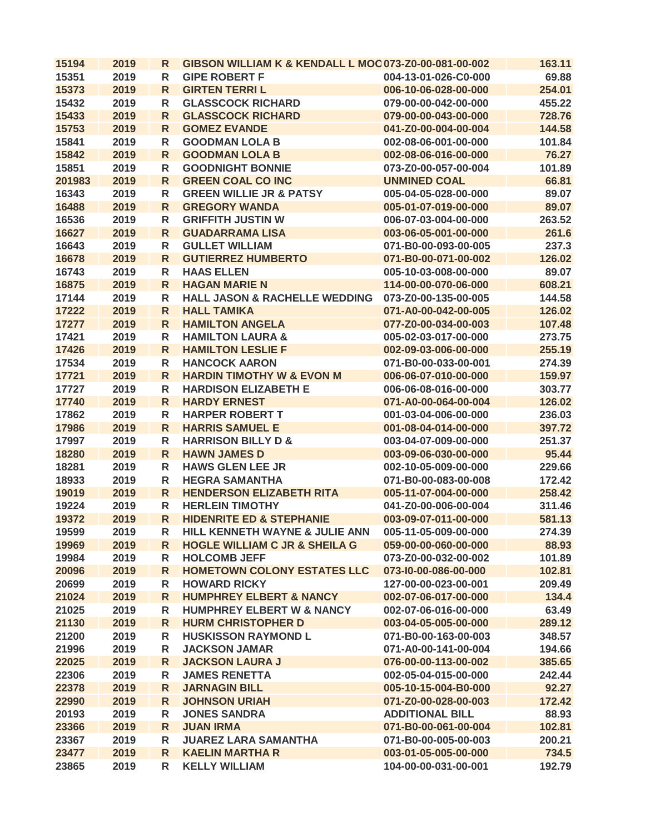| 15194  | 2019 | R            | <b>GIBSON WILLIAM K &amp; KENDALL L MOC 073-Z0-00-081-00-002</b> |                        | 163.11 |
|--------|------|--------------|------------------------------------------------------------------|------------------------|--------|
| 15351  | 2019 | R            | <b>GIPE ROBERT F</b>                                             | 004-13-01-026-C0-000   | 69.88  |
| 15373  | 2019 | R            | <b>GIRTEN TERRIL</b>                                             | 006-10-06-028-00-000   | 254.01 |
| 15432  | 2019 | R            | <b>GLASSCOCK RICHARD</b>                                         | 079-00-00-042-00-000   | 455.22 |
| 15433  | 2019 | R            | <b>GLASSCOCK RICHARD</b>                                         | 079-00-00-043-00-000   | 728.76 |
| 15753  | 2019 | $\mathsf{R}$ | <b>GOMEZ EVANDE</b>                                              | 041-Z0-00-004-00-004   | 144.58 |
| 15841  | 2019 | R            | <b>GOODMAN LOLA B</b>                                            | 002-08-06-001-00-000   | 101.84 |
| 15842  | 2019 | $\mathsf{R}$ | <b>GOODMAN LOLA B</b>                                            | 002-08-06-016-00-000   | 76.27  |
| 15851  | 2019 | R            | <b>GOODNIGHT BONNIE</b>                                          | 073-Z0-00-057-00-004   | 101.89 |
| 201983 | 2019 | R            | <b>GREEN COAL CO INC</b>                                         | <b>UNMINED COAL</b>    | 66.81  |
| 16343  | 2019 | R            | <b>GREEN WILLIE JR &amp; PATSY</b>                               | 005-04-05-028-00-000   | 89.07  |
| 16488  | 2019 | $\mathsf{R}$ | <b>GREGORY WANDA</b>                                             | 005-01-07-019-00-000   | 89.07  |
| 16536  | 2019 | R            | <b>GRIFFITH JUSTIN W</b>                                         | 006-07-03-004-00-000   | 263.52 |
| 16627  | 2019 | $\mathsf{R}$ | <b>GUADARRAMA LISA</b>                                           | 003-06-05-001-00-000   | 261.6  |
| 16643  | 2019 | R            | <b>GULLET WILLIAM</b>                                            | 071-B0-00-093-00-005   | 237.3  |
| 16678  | 2019 | $\mathsf{R}$ | <b>GUTIERREZ HUMBERTO</b>                                        | 071-B0-00-071-00-002   | 126.02 |
| 16743  | 2019 | R            | <b>HAAS ELLEN</b>                                                | 005-10-03-008-00-000   | 89.07  |
| 16875  | 2019 | R            | <b>HAGAN MARIE N</b>                                             | 114-00-00-070-06-000   | 608.21 |
| 17144  | 2019 | R            | <b>HALL JASON &amp; RACHELLE WEDDING</b>                         | 073-Z0-00-135-00-005   | 144.58 |
| 17222  | 2019 | R            | <b>HALL TAMIKA</b>                                               | 071-A0-00-042-00-005   | 126.02 |
| 17277  | 2019 | R            | <b>HAMILTON ANGELA</b>                                           | 077-Z0-00-034-00-003   | 107.48 |
| 17421  | 2019 | R            | <b>HAMILTON LAURA &amp;</b>                                      | 005-02-03-017-00-000   | 273.75 |
| 17426  | 2019 | $\mathsf{R}$ | <b>HAMILTON LESLIE F</b>                                         | 002-09-03-006-00-000   | 255.19 |
| 17534  | 2019 | R            | <b>HANCOCK AARON</b>                                             | 071-B0-00-033-00-001   | 274.39 |
| 17721  | 2019 | R            | <b>HARDIN TIMOTHY W &amp; EVON M</b>                             | 006-06-07-010-00-000   | 159.97 |
| 17727  | 2019 | R            | <b>HARDISON ELIZABETH E</b>                                      | 006-06-08-016-00-000   | 303.77 |
| 17740  | 2019 | $\mathsf{R}$ | <b>HARDY ERNEST</b>                                              | 071-A0-00-064-00-004   | 126.02 |
| 17862  | 2019 | R            | <b>HARPER ROBERT T</b>                                           | 001-03-04-006-00-000   | 236.03 |
| 17986  | 2019 | $\mathsf{R}$ | <b>HARRIS SAMUEL E</b>                                           | 001-08-04-014-00-000   | 397.72 |
| 17997  | 2019 | R            | <b>HARRISON BILLY D &amp;</b>                                    | 003-04-07-009-00-000   | 251.37 |
| 18280  | 2019 | $\mathsf{R}$ | <b>HAWN JAMES D</b>                                              | 003-09-06-030-00-000   | 95.44  |
| 18281  | 2019 | R            | <b>HAWS GLEN LEE JR</b>                                          | 002-10-05-009-00-000   | 229.66 |
| 18933  | 2019 | R            | <b>HEGRA SAMANTHA</b>                                            | 071-B0-00-083-00-008   | 172.42 |
| 19019  | 2019 | R            | <b>HENDERSON ELIZABETH RITA</b>                                  | 005-11-07-004-00-000   | 258.42 |
| 19224  | 2019 | R            | <b>HERLEIN TIMOTHY</b>                                           | 041-Z0-00-006-00-004   | 311.46 |
| 19372  | 2019 | R            | <b>HIDENRITE ED &amp; STEPHANIE</b>                              | 003-09-07-011-00-000   | 581.13 |
| 19599  | 2019 | R            | HILL KENNETH WAYNE & JULIE ANN                                   | 005-11-05-009-00-000   | 274.39 |
| 19969  | 2019 | R            | <b>HOGLE WILLIAM C JR &amp; SHEILA G</b>                         | 059-00-00-060-00-000   | 88.93  |
| 19984  | 2019 | R            | <b>HOLCOMB JEFF</b>                                              | 073-Z0-00-032-00-002   | 101.89 |
| 20096  | 2019 | $\mathsf{R}$ | <b>HOMETOWN COLONY ESTATES LLC</b>                               | 073-I0-00-086-00-000   | 102.81 |
| 20699  | 2019 | R            | <b>HOWARD RICKY</b>                                              | 127-00-00-023-00-001   | 209.49 |
| 21024  | 2019 | $\mathsf{R}$ | <b>HUMPHREY ELBERT &amp; NANCY</b>                               | 002-07-06-017-00-000   | 134.4  |
| 21025  | 2019 | R            | <b>HUMPHREY ELBERT W &amp; NANCY</b>                             | 002-07-06-016-00-000   | 63.49  |
| 21130  | 2019 | $\mathsf{R}$ | <b>HURM CHRISTOPHER D</b>                                        | 003-04-05-005-00-000   | 289.12 |
| 21200  | 2019 | R            | <b>HUSKISSON RAYMOND L</b>                                       | 071-B0-00-163-00-003   | 348.57 |
| 21996  | 2019 | R            | <b>JACKSON JAMAR</b>                                             | 071-A0-00-141-00-004   | 194.66 |
| 22025  | 2019 | $\mathsf{R}$ | <b>JACKSON LAURA J</b>                                           | 076-00-00-113-00-002   | 385.65 |
| 22306  | 2019 | R            | <b>JAMES RENETTA</b>                                             | 002-05-04-015-00-000   | 242.44 |
| 22378  | 2019 | $\mathsf{R}$ | <b>JARNAGIN BILL</b>                                             | 005-10-15-004-B0-000   | 92.27  |
| 22990  | 2019 | R            | <b>JOHNSON URIAH</b>                                             | 071-Z0-00-028-00-003   | 172.42 |
| 20193  | 2019 | R            | <b>JONES SANDRA</b>                                              | <b>ADDITIONAL BILL</b> | 88.93  |
| 23366  | 2019 | R            | <b>JUAN IRMA</b>                                                 | 071-B0-00-061-00-004   | 102.81 |
| 23367  | 2019 |              | <b>JUAREZ LARA SAMANTHA</b>                                      | 071-B0-00-005-00-003   | 200.21 |
| 23477  |      | R            | <b>KAELIN MARTHA R</b>                                           | 003-01-05-005-00-000   | 734.5  |
|        | 2019 | R            |                                                                  | 104-00-00-031-00-001   |        |
| 23865  | 2019 | R            | <b>KELLY WILLIAM</b>                                             |                        | 192.79 |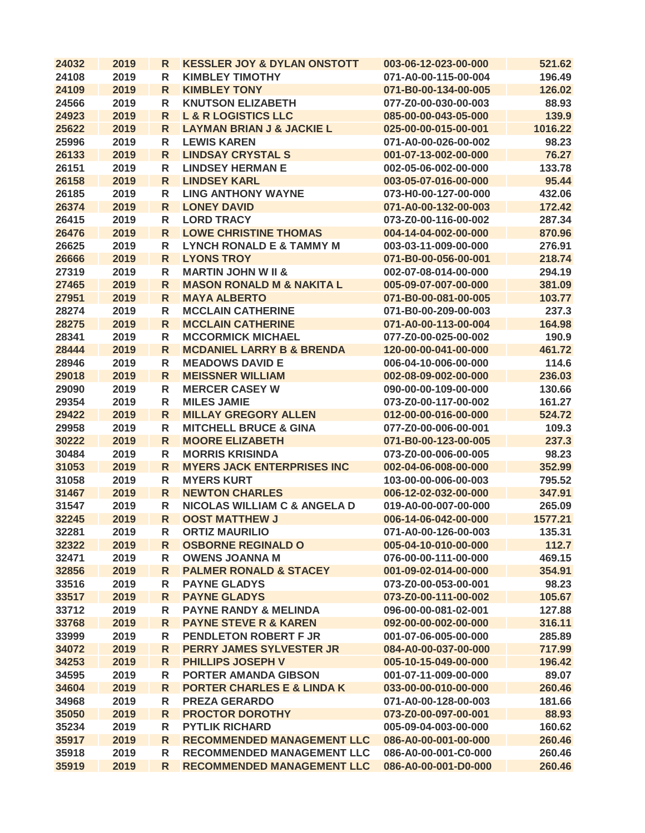| 24032 | 2019 | R            | <b>KESSLER JOY &amp; DYLAN ONSTOTT</b>  | 003-06-12-023-00-000 | 521.62  |
|-------|------|--------------|-----------------------------------------|----------------------|---------|
| 24108 | 2019 | R            | <b>KIMBLEY TIMOTHY</b>                  | 071-A0-00-115-00-004 | 196.49  |
| 24109 | 2019 | R            | <b>KIMBLEY TONY</b>                     | 071-B0-00-134-00-005 | 126.02  |
| 24566 | 2019 | R            | <b>KNUTSON ELIZABETH</b>                | 077-Z0-00-030-00-003 | 88.93   |
| 24923 | 2019 | R            | <b>L &amp; R LOGISTICS LLC</b>          | 085-00-00-043-05-000 | 139.9   |
| 25622 | 2019 | R            | <b>LAYMAN BRIAN J &amp; JACKIE L</b>    | 025-00-00-015-00-001 | 1016.22 |
| 25996 | 2019 | R            | <b>LEWIS KAREN</b>                      | 071-A0-00-026-00-002 | 98.23   |
| 26133 | 2019 | R.           | <b>LINDSAY CRYSTAL S</b>                | 001-07-13-002-00-000 | 76.27   |
| 26151 | 2019 | R            | <b>LINDSEY HERMAN E</b>                 | 002-05-06-002-00-000 | 133.78  |
| 26158 | 2019 | R            | <b>LINDSEY KARL</b>                     | 003-05-07-016-00-000 | 95.44   |
| 26185 | 2019 | R            | <b>LING ANTHONY WAYNE</b>               | 073-H0-00-127-00-000 | 432.06  |
| 26374 | 2019 | $\mathsf{R}$ | <b>LONEY DAVID</b>                      | 071-A0-00-132-00-003 | 172.42  |
| 26415 | 2019 | R            | <b>LORD TRACY</b>                       | 073-Z0-00-116-00-002 | 287.34  |
| 26476 | 2019 | $\mathsf{R}$ | <b>LOWE CHRISTINE THOMAS</b>            | 004-14-04-002-00-000 | 870.96  |
| 26625 | 2019 | R            | <b>LYNCH RONALD E &amp; TAMMY M</b>     | 003-03-11-009-00-000 | 276.91  |
| 26666 | 2019 | $\mathsf{R}$ | <b>LYONS TROY</b>                       | 071-B0-00-056-00-001 | 218.74  |
| 27319 | 2019 | R            | <b>MARTIN JOHN W II &amp;</b>           | 002-07-08-014-00-000 | 294.19  |
| 27465 | 2019 | R            | <b>MASON RONALD M &amp; NAKITA L</b>    | 005-09-07-007-00-000 | 381.09  |
| 27951 | 2019 | R            | <b>MAYA ALBERTO</b>                     | 071-B0-00-081-00-005 | 103.77  |
| 28274 | 2019 | R            | <b>MCCLAIN CATHERINE</b>                | 071-B0-00-209-00-003 | 237.3   |
| 28275 | 2019 | R            | <b>MCCLAIN CATHERINE</b>                | 071-A0-00-113-00-004 | 164.98  |
| 28341 | 2019 | R            | <b>MCCORMICK MICHAEL</b>                | 077-Z0-00-025-00-002 | 190.9   |
| 28444 | 2019 | $\mathsf{R}$ | <b>MCDANIEL LARRY B &amp; BRENDA</b>    | 120-00-00-041-00-000 | 461.72  |
| 28946 | 2019 | R            | <b>MEADOWS DAVID E</b>                  | 006-04-10-006-00-000 | 114.6   |
| 29018 | 2019 | $\mathsf{R}$ | <b>MEISSNER WILLIAM</b>                 | 002-08-09-002-00-000 | 236.03  |
| 29090 | 2019 | R            | <b>MERCER CASEY W</b>                   | 090-00-00-109-00-000 | 130.66  |
| 29354 | 2019 | R            | <b>MILES JAMIE</b>                      | 073-Z0-00-117-00-002 | 161.27  |
| 29422 | 2019 | $\mathsf{R}$ | <b>MILLAY GREGORY ALLEN</b>             | 012-00-00-016-00-000 | 524.72  |
| 29958 | 2019 | R            | <b>MITCHELL BRUCE &amp; GINA</b>        | 077-Z0-00-006-00-001 | 109.3   |
| 30222 | 2019 | $\mathsf{R}$ | <b>MOORE ELIZABETH</b>                  | 071-B0-00-123-00-005 | 237.3   |
| 30484 | 2019 | R            | <b>MORRIS KRISINDA</b>                  | 073-Z0-00-006-00-005 | 98.23   |
| 31053 | 2019 | $\mathsf{R}$ | <b>MYERS JACK ENTERPRISES INC</b>       | 002-04-06-008-00-000 | 352.99  |
| 31058 | 2019 | R            | <b>MYERS KURT</b>                       | 103-00-00-006-00-003 | 795.52  |
| 31467 | 2019 | R            | <b>NEWTON CHARLES</b>                   | 006-12-02-032-00-000 | 347.91  |
| 31547 | 2019 | R            | <b>NICOLAS WILLIAM C &amp; ANGELA D</b> | 019-A0-00-007-00-000 | 265.09  |
| 32245 | 2019 | R            | <b>OOST MATTHEW J</b>                   | 006-14-06-042-00-000 | 1577.21 |
| 32281 | 2019 | $\mathsf R$  | <b>ORTIZ MAURILIO</b>                   | 071-A0-00-126-00-003 | 135.31  |
| 32322 | 2019 | R            | <b>OSBORNE REGINALD O</b>               | 005-04-10-010-00-000 | 112.7   |
| 32471 | 2019 | R            | <b>OWENS JOANNA M</b>                   | 076-00-00-111-00-000 | 469.15  |
| 32856 | 2019 | $\mathsf{R}$ | <b>PALMER RONALD &amp; STACEY</b>       | 001-09-02-014-00-000 | 354.91  |
| 33516 | 2019 | R            | <b>PAYNE GLADYS</b>                     | 073-Z0-00-053-00-001 | 98.23   |
| 33517 | 2019 | R            | <b>PAYNE GLADYS</b>                     | 073-Z0-00-111-00-002 | 105.67  |
| 33712 | 2019 | R            | <b>PAYNE RANDY &amp; MELINDA</b>        | 096-00-00-081-02-001 | 127.88  |
| 33768 | 2019 | $\mathsf{R}$ | <b>PAYNE STEVE R &amp; KAREN</b>        | 092-00-00-002-00-000 | 316.11  |
| 33999 | 2019 | R            | PENDLETON ROBERT F JR                   | 001-07-06-005-00-000 | 285.89  |
| 34072 | 2019 | $\mathsf{R}$ | PERRY JAMES SYLVESTER JR                | 084-A0-00-037-00-000 | 717.99  |
| 34253 | 2019 | $\mathsf{R}$ | PHILLIPS JOSEPH V                       | 005-10-15-049-00-000 | 196.42  |
| 34595 | 2019 | R            | <b>PORTER AMANDA GIBSON</b>             | 001-07-11-009-00-000 | 89.07   |
| 34604 | 2019 | $\mathsf{R}$ | <b>PORTER CHARLES E &amp; LINDA K</b>   | 033-00-00-010-00-000 | 260.46  |
| 34968 | 2019 | R            | <b>PREZA GERARDO</b>                    | 071-A0-00-128-00-003 | 181.66  |
| 35050 | 2019 | R            | <b>PROCTOR DOROTHY</b>                  | 073-Z0-00-097-00-001 | 88.93   |
| 35234 | 2019 | R            | <b>PYTLIK RICHARD</b>                   | 005-09-04-003-00-000 | 160.62  |
| 35917 | 2019 | R            | <b>RECOMMENDED MANAGEMENT LLC</b>       | 086-A0-00-001-00-000 | 260.46  |
| 35918 | 2019 | R            | <b>RECOMMENDED MANAGEMENT LLC</b>       | 086-A0-00-001-C0-000 | 260.46  |
| 35919 | 2019 | $\mathsf{R}$ | <b>RECOMMENDED MANAGEMENT LLC</b>       | 086-A0-00-001-D0-000 | 260.46  |
|       |      |              |                                         |                      |         |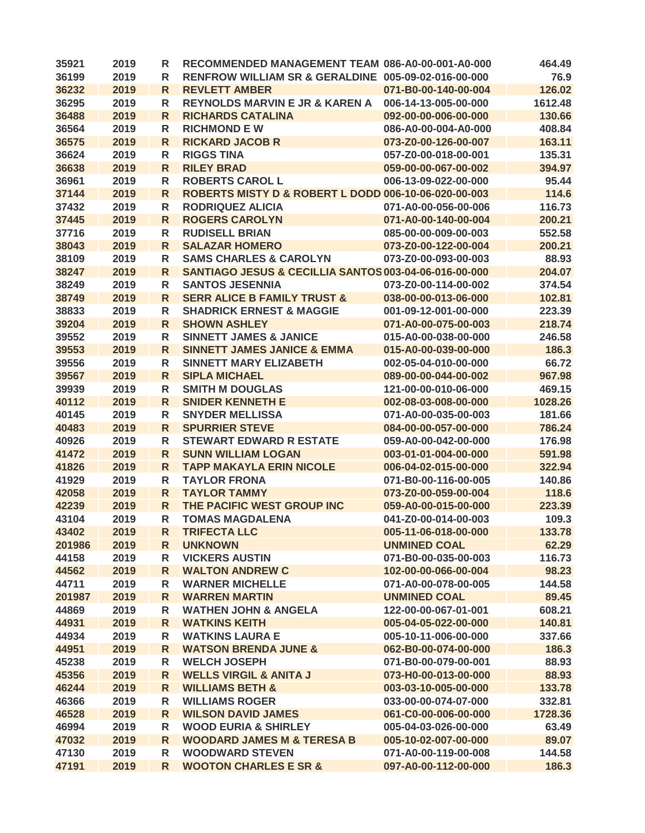| 35921          | 2019         | R                 | RECOMMENDED MANAGEMENT TEAM 086-A0-00-001-A0-000            |                                              | 464.49           |
|----------------|--------------|-------------------|-------------------------------------------------------------|----------------------------------------------|------------------|
| 36199          | 2019         | R                 | RENFROW WILLIAM SR & GERALDINE 005-09-02-016-00-000         |                                              | 76.9             |
| 36232          | 2019         | R                 | <b>REVLETT AMBER</b>                                        | 071-B0-00-140-00-004                         | 126.02           |
| 36295          | 2019         | R                 | <b>REYNOLDS MARVIN E JR &amp; KAREN A</b>                   | 006-14-13-005-00-000                         | 1612.48          |
| 36488          | 2019         | $\mathsf{R}$      | <b>RICHARDS CATALINA</b>                                    | 092-00-00-006-00-000                         | 130.66           |
| 36564          | 2019         | R                 | <b>RICHMOND E W</b>                                         | 086-A0-00-004-A0-000                         | 408.84           |
| 36575          | 2019         | R                 | <b>RICKARD JACOB R</b>                                      | 073-Z0-00-126-00-007                         | 163.11           |
| 36624          | 2019         | R                 | <b>RIGGS TINA</b>                                           | 057-Z0-00-018-00-001                         | 135.31           |
| 36638          | 2019         | R                 | <b>RILEY BRAD</b>                                           | 059-00-00-067-00-002                         | 394.97           |
| 36961          | 2019         | R                 | <b>ROBERTS CAROL L</b>                                      | 006-13-09-022-00-000                         | 95.44            |
| 37144          | 2019         | $\mathsf{R}$      | ROBERTS MISTY D & ROBERT L DODD 006-10-06-020-00-003        |                                              | 114.6            |
| 37432          | 2019         | R                 | <b>RODRIQUEZ ALICIA</b>                                     | 071-A0-00-056-00-006                         | 116.73           |
| 37445          | 2019         | $\mathsf{R}$      | <b>ROGERS CAROLYN</b>                                       | 071-A0-00-140-00-004                         | 200.21           |
| 37716          | 2019         | R                 | <b>RUDISELL BRIAN</b>                                       | 085-00-00-009-00-003                         | 552.58           |
| 38043          | 2019         | R                 | <b>SALAZAR HOMERO</b>                                       | 073-Z0-00-122-00-004                         | 200.21           |
| 38109          | 2019         | R                 | <b>SAMS CHARLES &amp; CAROLYN</b>                           | 073-Z0-00-093-00-003                         | 88.93            |
| 38247          | 2019         | R                 | SANTIAGO JESUS & CECILLIA SANTOS 003-04-06-016-00-000       |                                              | 204.07           |
| 38249          | 2019         | R                 | <b>SANTOS JESENNIA</b>                                      | 073-Z0-00-114-00-002                         | 374.54           |
| 38749          | 2019         | R                 | <b>SERR ALICE B FAMILY TRUST &amp;</b>                      | 038-00-00-013-06-000                         | 102.81           |
| 38833          | 2019         | R                 | <b>SHADRICK ERNEST &amp; MAGGIE</b>                         | 001-09-12-001-00-000                         | 223.39           |
| 39204          | 2019         | $\mathsf{R}$      | <b>SHOWN ASHLEY</b>                                         | 071-A0-00-075-00-003                         | 218.74           |
| 39552          | 2019         | R                 | <b>SINNETT JAMES &amp; JANICE</b>                           | 015-A0-00-038-00-000                         | 246.58           |
| 39553          | 2019         | $\mathsf{R}$      | <b>SINNETT JAMES JANICE &amp; EMMA</b>                      | 015-A0-00-039-00-000                         | 186.3            |
| 39556          | 2019         | R                 | <b>SINNETT MARY ELIZABETH</b>                               | 002-05-04-010-00-000                         | 66.72            |
| 39567          | 2019         | $\mathsf{R}$      | <b>SIPLA MICHAEL</b>                                        | 089-00-00-044-00-002                         | 967.98           |
| 39939          | 2019         | R                 | <b>SMITH M DOUGLAS</b>                                      | 121-00-00-010-06-000                         | 469.15           |
| 40112          | 2019         | $\mathsf{R}$      | <b>SNIDER KENNETH E</b>                                     | 002-08-03-008-00-000                         | 1028.26          |
| 40145          | 2019         |                   | <b>SNYDER MELLISSA</b>                                      | 071-A0-00-035-00-003                         | 181.66           |
| 40483          | 2019         | R<br>$\mathsf{R}$ | <b>SPURRIER STEVE</b>                                       | 084-00-00-057-00-000                         | 786.24           |
|                |              |                   |                                                             |                                              |                  |
| 40926          | 2019         | R                 | <b>STEWART EDWARD R ESTATE</b><br><b>SUNN WILLIAM LOGAN</b> | 059-A0-00-042-00-000                         | 176.98           |
| 41472          | 2019<br>2019 | R                 | <b>TAPP MAKAYLA ERIN NICOLE</b>                             | 003-01-01-004-00-000<br>006-04-02-015-00-000 | 591.98<br>322.94 |
| 41826          | 2019         | R                 | <b>TAYLOR FRONA</b>                                         | 071-B0-00-116-00-005                         | 140.86           |
| 41929          |              | R                 | <b>TAYLOR TAMMY</b>                                         | 073-Z0-00-059-00-004                         | 118.6            |
| 42058          | 2019         | R                 | THE PACIFIC WEST GROUP INC                                  | 059-A0-00-015-00-000                         | 223.39           |
| 42239<br>43104 | 2019         | R                 |                                                             |                                              |                  |
|                | 2019         | R                 | <b>TOMAS MAGDALENA</b>                                      | 041-Z0-00-014-00-003                         | 109.3            |
| 43402          | 2019         | ${\sf R}$         | <b>TRIFECTA LLC</b>                                         | 005-11-06-018-00-000                         | 133.78           |
| 201986         | 2019         | R                 | <b>UNKNOWN</b>                                              | <b>UNMINED COAL</b>                          | 62.29            |
| 44158          | 2019         | R                 | <b>VICKERS AUSTIN</b>                                       | 071-B0-00-035-00-003                         | 116.73           |
| 44562          | 2019         | R                 | <b>WALTON ANDREW C</b>                                      | 102-00-00-066-00-004                         | 98.23            |
| 44711          | 2019         | R                 | <b>WARNER MICHELLE</b>                                      | 071-A0-00-078-00-005                         | 144.58           |
| 201987         | 2019         | R                 | <b>WARREN MARTIN</b>                                        | <b>UNMINED COAL</b>                          | 89.45            |
| 44869          | 2019         | R                 | <b>WATHEN JOHN &amp; ANGELA</b>                             | 122-00-00-067-01-001                         | 608.21           |
| 44931          | 2019         | $\mathsf{R}$      | <b>WATKINS KEITH</b>                                        | 005-04-05-022-00-000                         | 140.81           |
| 44934          | 2019         | R                 | <b>WATKINS LAURA E</b>                                      | 005-10-11-006-00-000                         | 337.66           |
| 44951          | 2019         | $\mathsf{R}$      | <b>WATSON BRENDA JUNE &amp;</b>                             | 062-B0-00-074-00-000                         | 186.3            |
| 45238          | 2019         | R                 | <b>WELCH JOSEPH</b>                                         | 071-B0-00-079-00-001                         | 88.93            |
| 45356          | 2019         | R                 | <b>WELLS VIRGIL &amp; ANITA J</b>                           | 073-H0-00-013-00-000                         | 88.93            |
| 46244          | 2019         | $\mathsf{R}$      | <b>WILLIAMS BETH &amp;</b>                                  | 003-03-10-005-00-000                         | 133.78           |
| 46366          | 2019         | R                 | <b>WILLIAMS ROGER</b>                                       | 033-00-00-074-07-000                         | 332.81           |
| 46528          | 2019         | R                 | <b>WILSON DAVID JAMES</b>                                   | 061-C0-00-006-00-000                         | 1728.36          |
| 46994          | 2019         | R                 | <b>WOOD EURIA &amp; SHIRLEY</b>                             | 005-04-03-026-00-000                         | 63.49            |
| 47032          | 2019         | $\mathsf{R}$      | <b>WOODARD JAMES M &amp; TERESA B</b>                       | 005-10-02-007-00-000                         | 89.07            |
| 47130          | 2019         | R                 | <b>WOODWARD STEVEN</b>                                      | 071-A0-00-119-00-008                         | 144.58           |
| 47191          | 2019         | $\mathsf{R}$      | <b>WOOTON CHARLES E SR &amp;</b>                            | 097-A0-00-112-00-000                         | 186.3            |